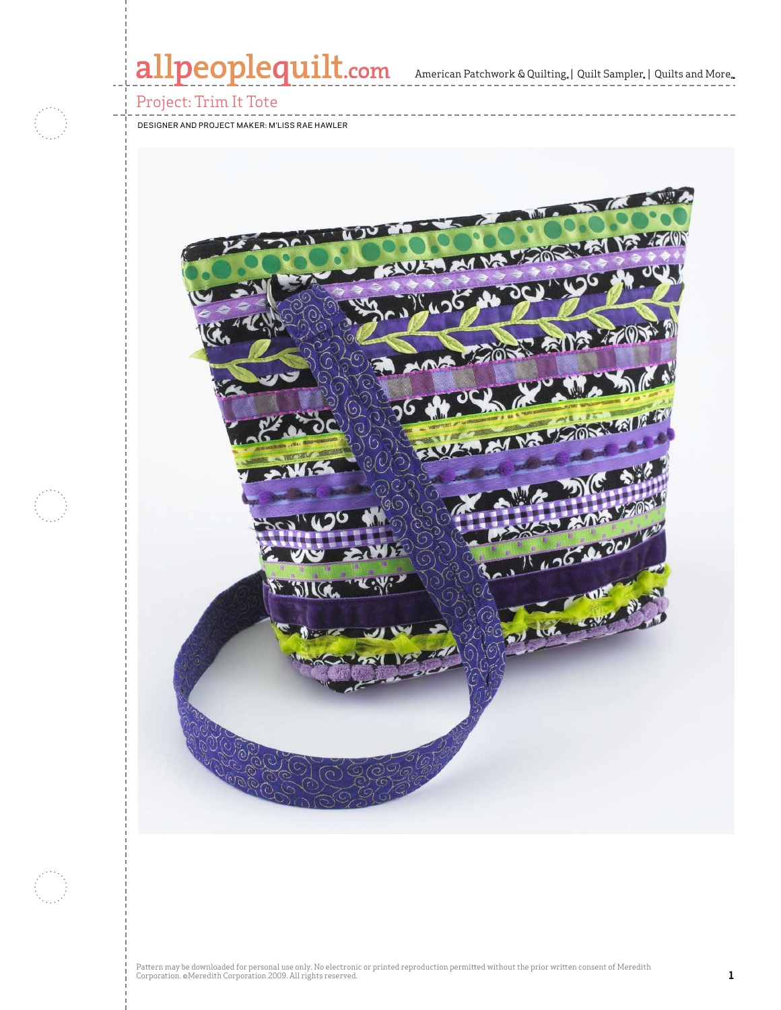# allpeoplequilt.com

#### Project: Trim It Tote

designer and project maker: m'liss rae hawler



Pattern may be downloaded for personal use only. No electronic or printed reproduction permitted without the prior written consent of Meredith<br>Corporation. ©Meredith Corporation 2009. All rights reserved.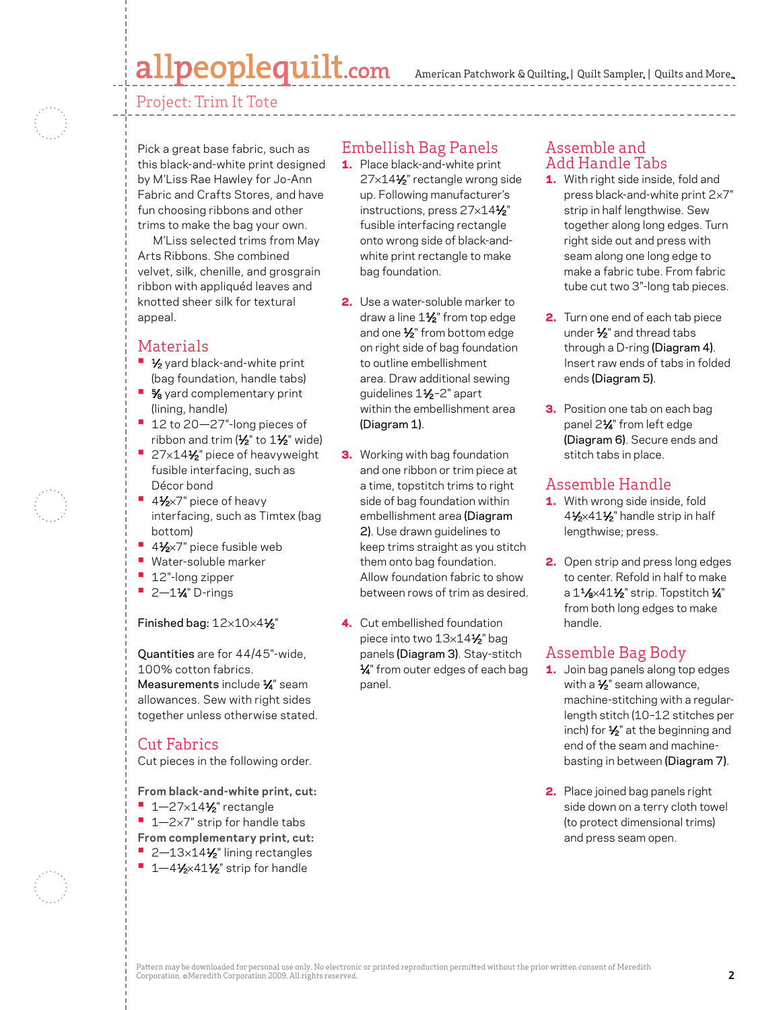# allpeoplequilt.com

American Patchwork & Quilting, | Quilt Sampler, | Quilts and More...

Project: Trim It Tote



Pick a great base fabric, such as this black-and-white print designed by M'Liss Rae Hawley for Jo-Ann Fabric and Crafts Stores, and have fun choosing ribbons and other trims to make the bag your own.

M'Liss selected trims from May Arts Ribbons. She combined velvet, silk, chenille, and grosgrain ribbon with appliquéd leaves and knotted sheer silk for textural appeal.

## Materials

- **1/<sub>2</sub>** yard black-and-white print (bag foundation, handle tabs)
- $\frac{5}{8}$  yard complementary print (lining, handle)
- <sup>•</sup> 12 to 20–27"-long pieces of ribbon and trim  $(1/2)$ " to  $1/2$ " wide)
- 27×14<sup>1</sup>/<sub>2</sub>" piece of heavyweight fusible interfacing, such as Décor bond
- 41⁄<sub>2</sub>×7" piece of heavy interfacing, such as Timtex (bag bottom)
- **•** 41⁄2×7" piece fusible web
- **•**  Water-soluble marker
- **•**  12"-long zipper
- **•**  2—11⁄4" D-rings

#### Finished bag: 12×10×41⁄2"

Quantities are for 44/45"-wide, 100% cotton fabrics. Measurements include 1/4" seam allowances. Sew with right sides together unless otherwise stated.

## Cut Fabrics

Cut pieces in the following order.

**From black-and-white print, cut:**

- **1** 1–27×14<sup>1</sup>⁄2" rectangle
- 1–2×7" strip for handle tabs
- **From complementary print, cut:**
- 2-13×14½" lining rectangles
- 1-41⁄2×41½" strip for handle

## Embellish Bag Panels

- 1. Place black-and-white print 27×141⁄2" rectangle wrong side up. Following manufacturer's instructions, press 27x141/2" fusible interfacing rectangle onto wrong side of black-andwhite print rectangle to make bag foundation.
- 2. Use a water-soluble marker to draw a line 11/<sub>2</sub>" from top edge and one 1⁄2" from bottom edge on right side of bag foundation to outline embellishment area. Draw additional sewing guidelines 11⁄2–2" apart within the embellishment area (Diagram 1).
- **3.** Working with bag foundation and one ribbon or trim piece at a time, topstitch trims to right side of bag foundation within embellishment area (Diagram 2). Use drawn guidelines to keep trims straight as you stitch them onto bag foundation. Allow foundation fabric to show between rows of trim as desired.
- 4. Cut embellished foundation piece into two 13×14<sup>1</sup>/<sub>2</sub>" bag panels (Diagram 3). Stay-stitch  $\frac{1}{4}$ " from outer edges of each bag panel.

### Assemble and Add Handle Tabs

- 1. With right side inside, fold and press black-and-white print 2×7" strip in half lengthwise. Sew together along long edges. Turn right side out and press with seam along one long edge to make a fabric tube. From fabric tube cut two 3"-long tab pieces.
- 2. Turn one end of each tab piece under 1/<sub>2</sub>" and thread tabs through a D-ring (Diagram 4). Insert raw ends of tabs in folded ends (Diagram 5).
- **3.** Position one tab on each bag panel 2<sup>1/4</sup> from left edge (Diagram 6). Secure ends and stitch tabs in place.

## Assemble Handle

- 1. With wrong side inside, fold 41/2×411/2" handle strip in half lengthwise; press.
- 2. Open strip and press long edges to center. Refold in half to make a  $1\frac{1}{8} \times 41\frac{1}{2}$ " strip. Topstitch  $\frac{1}{4}$ " from both long edges to make handle.

# Assemble Bag Body

- 1. Join bag panels along top edges with a  $\frac{1}{2}$ " seam allowance, machine-stitching with a regularlength stitch (10–12 stitches per inch) for  $\frac{1}{2}$ " at the beginning and end of the seam and machinebasting in between (Diagram 7).
- 2. Place joined bag panels right side down on a terry cloth towel (to protect dimensional trims) and press seam open.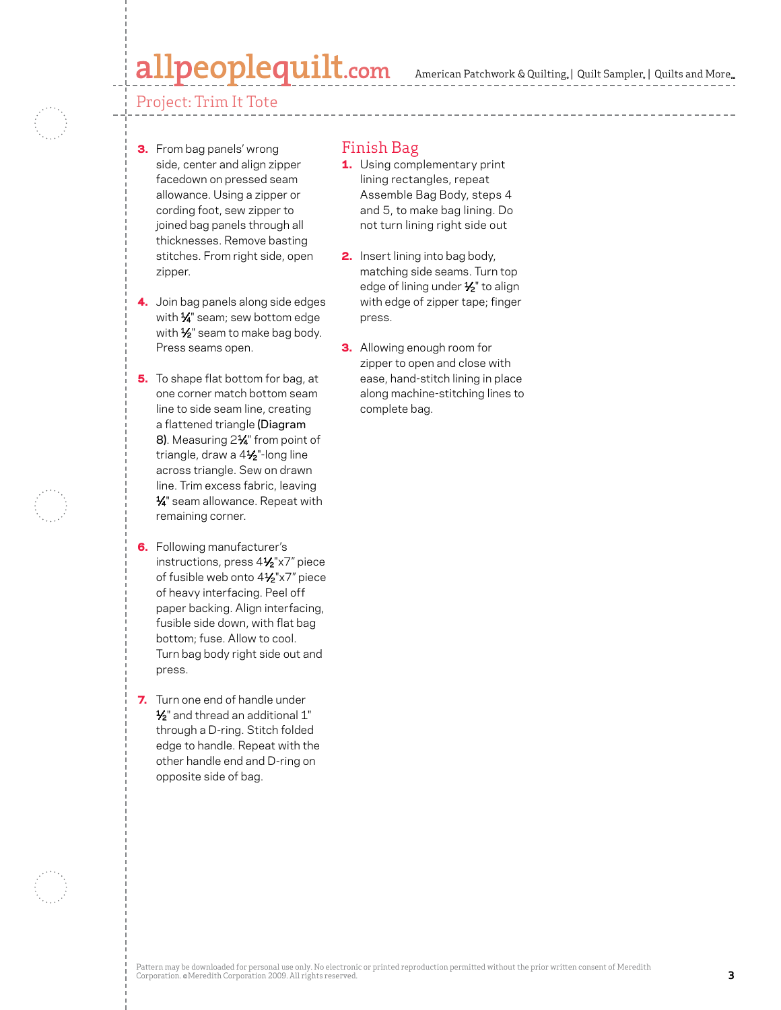# peoplequilt.com

### Project: Trim It Tote

- 3. From bag panels' wrong side, center and align zipper facedown on pressed seam allowance. Using a zipper or cording foot, sew zipper to joined bag panels through all thicknesses. Remove basting stitches. From right side, open zipper.
- 4. Join bag panels along side edges with 1/4" seam; sew bottom edge with 1/<sub>2</sub>" seam to make bag body. Press seams open.
- **5.** To shape flat bottom for bag, at one corner match bottom seam line to side seam line, creating a flattened triangle (Diagram 8). Measuring 21/4" from point of triangle, draw a 41/2"-long line across triangle. Sew on drawn line. Trim excess fabric, leaving 1⁄4" seam allowance. Repeat with remaining corner.
- **6.** Following manufacturer's instructions, press 41⁄2"x7" piece of fusible web onto 41⁄2"x7" piece of heavy interfacing. Peel off paper backing. Align interfacing, fusible side down, with flat bag bottom; fuse. Allow to cool. Turn bag body right side out and press.
- **7.** Turn one end of handle under 1⁄2" and thread an additional 1" through a D-ring. Stitch folded edge to handle. Repeat with the other handle end and D-ring on opposite side of bag.

### Finish Bag

- **1.** Using complementary print lining rectangles, repeat Assemble Bag Body, steps 4 and 5, to make bag lining. Do not turn lining right side out
- **2.** Insert lining into bag body, matching side seams. Turn top edge of lining under 1/2" to align with edge of zipper tape; finger press.
- **3.** Allowing enough room for zipper to open and close with ease, hand-stitch lining in place along machine-stitching lines to complete bag.